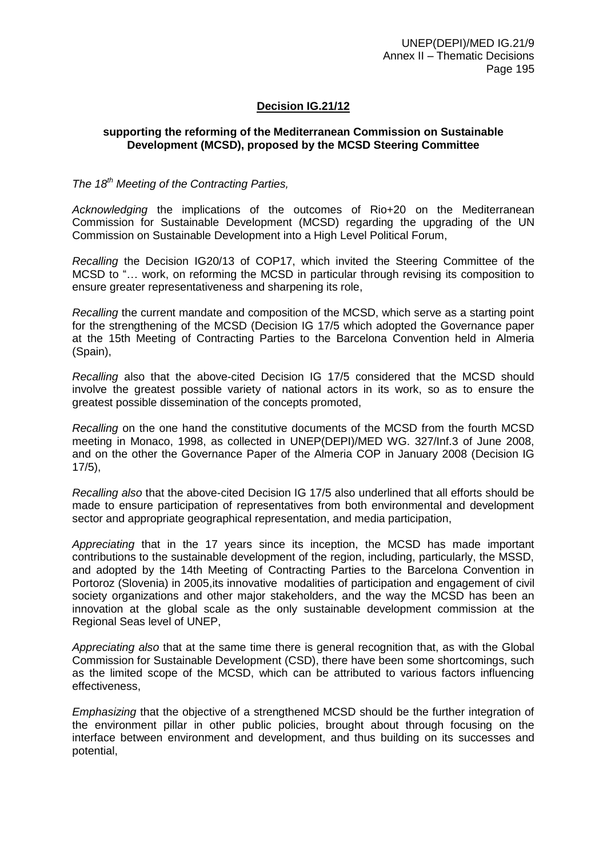## **Decision IG.21/12**

## **supporting the reforming of the Mediterranean Commission on Sustainable Development (MCSD), proposed by the MCSD Steering Committee**

## *The 18th Meeting of the Contracting Parties,*

*Acknowledging* the implications of the outcomes of Rio+20 on the Mediterranean Commission for Sustainable Development (MCSD) regarding the upgrading of the UN Commission on Sustainable Development into a High Level Political Forum,

*Recalling* the Decision IG20/13 of COP17, which invited the Steering Committee of the MCSD to "… work, on reforming the MCSD in particular through revising its composition to ensure greater representativeness and sharpening its role,

*Recalling* the current mandate and composition of the MCSD, which serve as a starting point for the strengthening of the MCSD (Decision IG 17/5 which adopted the Governance paper at the 15th Meeting of Contracting Parties to the Barcelona Convention held in Almeria (Spain),

*Recalling* also that the above-cited Decision IG 17/5 considered that the MCSD should involve the greatest possible variety of national actors in its work, so as to ensure the greatest possible dissemination of the concepts promoted,

*Recalling* on the one hand the constitutive documents of the MCSD from the fourth MCSD meeting in Monaco, 1998, as collected in UNEP(DEPI)/MED WG. 327/Inf.3 of June 2008, and on the other the Governance Paper of the Almeria COP in January 2008 (Decision IG 17/5),

*Recalling also* that the above-cited Decision IG 17/5 also underlined that all efforts should be made to ensure participation of representatives from both environmental and development sector and appropriate geographical representation, and media participation,

*Appreciating* that in the 17 years since its inception, the MCSD has made important contributions to the sustainable development of the region, including, particularly, the MSSD, and adopted by the 14th Meeting of Contracting Parties to the Barcelona Convention in Portoroz (Slovenia) in 2005,its innovative modalities of participation and engagement of civil society organizations and other major stakeholders, and the way the MCSD has been an innovation at the global scale as the only sustainable development commission at the Regional Seas level of UNEP,

*Appreciating also* that at the same time there is general recognition that, as with the Global Commission for Sustainable Development (CSD), there have been some shortcomings, such as the limited scope of the MCSD, which can be attributed to various factors influencing effectiveness,

*Emphasizing* that the objective of a strengthened MCSD should be the further integration of the environment pillar in other public policies, brought about through focusing on the interface between environment and development, and thus building on its successes and potential,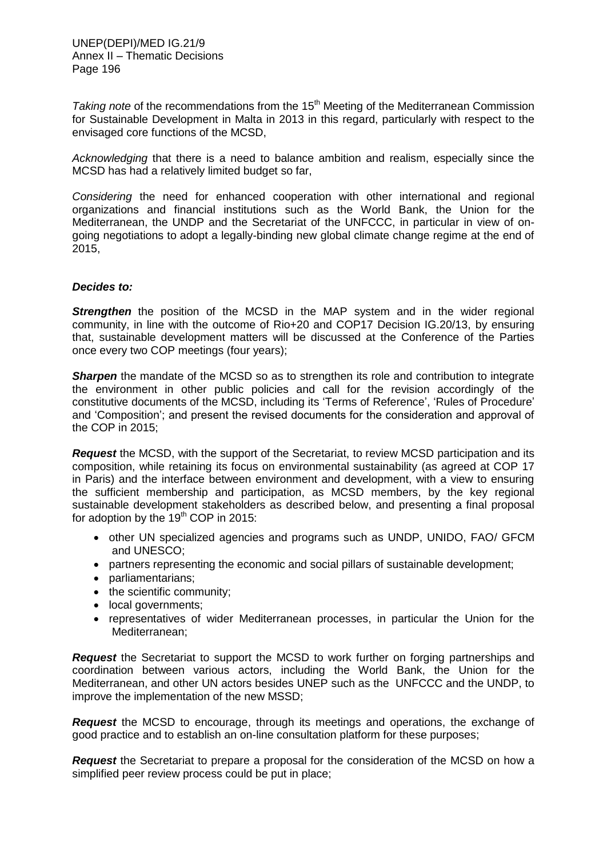*Taking note* of the recommendations from the 15<sup>th</sup> Meeting of the Mediterranean Commission for Sustainable Development in Malta in 2013 in this regard, particularly with respect to the envisaged core functions of the MCSD,

*Acknowledging* that there is a need to balance ambition and realism, especially since the MCSD has had a relatively limited budget so far,

*Considering* the need for enhanced cooperation with other international and regional organizations and financial institutions such as the World Bank, the Union for the Mediterranean, the UNDP and the Secretariat of the UNFCCC, in particular in view of ongoing negotiations to adopt a legally-binding new global climate change regime at the end of 2015,

## *Decides to:*

**Strengthen** the position of the MCSD in the MAP system and in the wider regional community, in line with the outcome of Rio+20 and COP17 Decision IG.20/13, by ensuring that, sustainable development matters will be discussed at the Conference of the Parties once every two COP meetings (four years);

**Sharpen** the mandate of the MCSD so as to strengthen its role and contribution to integrate the environment in other public policies and call for the revision accordingly of the constitutive documents of the MCSD, including its 'Terms of Reference', 'Rules of Procedure' and 'Composition'; and present the revised documents for the consideration and approval of the COP in 2015;

*Request* the MCSD, with the support of the Secretariat, to review MCSD participation and its composition, while retaining its focus on environmental sustainability (as agreed at COP 17 in Paris) and the interface between environment and development, with a view to ensuring the sufficient membership and participation, as MCSD members, by the key regional sustainable development stakeholders as described below, and presenting a final proposal for adoption by the  $19<sup>th</sup>$  COP in 2015:

- other UN specialized agencies and programs such as UNDP, UNIDO, FAO/ GFCM and UNESCO;
- partners representing the economic and social pillars of sustainable development;
- parliamentarians;
- the scientific community;
- local governments;
- representatives of wider Mediterranean processes, in particular the Union for the Mediterranean;

*Request* the Secretariat to support the MCSD to work further on forging partnerships and coordination between various actors, including the World Bank, the Union for the Mediterranean, and other UN actors besides UNEP such as the UNFCCC and the UNDP, to improve the implementation of the new MSSD;

*Request* the MCSD to encourage, through its meetings and operations, the exchange of good practice and to establish an on-line consultation platform for these purposes;

*Request* the Secretariat to prepare a proposal for the consideration of the MCSD on how a simplified peer review process could be put in place;